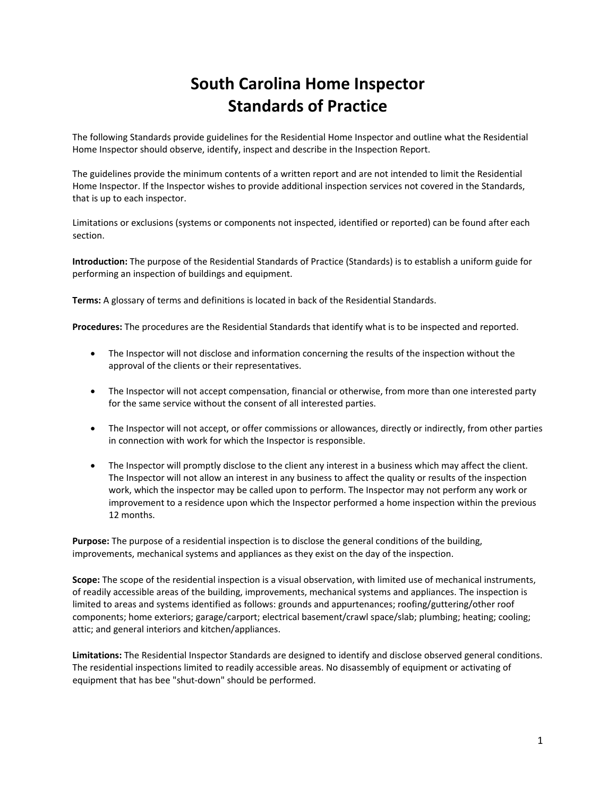# **South Carolina Home Inspector Standards of Practice**

The following Standards provide guidelines for the Residential Home Inspector and outline what the Residential Home Inspector should observe, identify, inspect and describe in the Inspection Report.

The guidelines provide the minimum contents of a written report and are not intended to limit the Residential Home Inspector. If the Inspector wishes to provide additional inspection services not covered in the Standards, that is up to each inspector.

Limitations or exclusions (systems or components not inspected, identified or reported) can be found after each section.

**Introduction:** The purpose of the Residential Standards of Practice (Standards) is to establish a uniform guide for performing an inspection of buildings and equipment.

**Terms:** A glossary of terms and definitions is located in back of the Residential Standards.

**Procedures:** The procedures are the Residential Standards that identify what is to be inspected and reported.

- The Inspector will not disclose and information concerning the results of the inspection without the approval of the clients or their representatives.
- The Inspector will not accept compensation, financial or otherwise, from more than one interested party for the same service without the consent of all interested parties.
- The Inspector will not accept, or offer commissions or allowances, directly or indirectly, from other parties in connection with work for which the Inspector is responsible.
- The Inspector will promptly disclose to the client any interest in a business which may affect the client. The Inspector will not allow an interest in any business to affect the quality or results of the inspection work, which the inspector may be called upon to perform. The Inspector may not perform any work or improvement to a residence upon which the Inspector performed a home inspection within the previous 12 months.

**Purpose:** The purpose of a residential inspection is to disclose the general conditions of the building, improvements, mechanical systems and appliances as they exist on the day of the inspection.

**Scope:** The scope of the residential inspection is a visual observation, with limited use of mechanical instruments, of readily accessible areas of the building, improvements, mechanical systems and appliances. The inspection is limited to areas and systems identified as follows: grounds and appurtenances; roofing/guttering/other roof components; home exteriors; garage/carport; electrical basement/crawl space/slab; plumbing; heating; cooling; attic; and general interiors and kitchen/appliances.

**Limitations:** The Residential Inspector Standards are designed to identify and disclose observed general conditions. The residential inspections limited to readily accessible areas. No disassembly of equipment or activating of equipment that has bee "shut‐down" should be performed.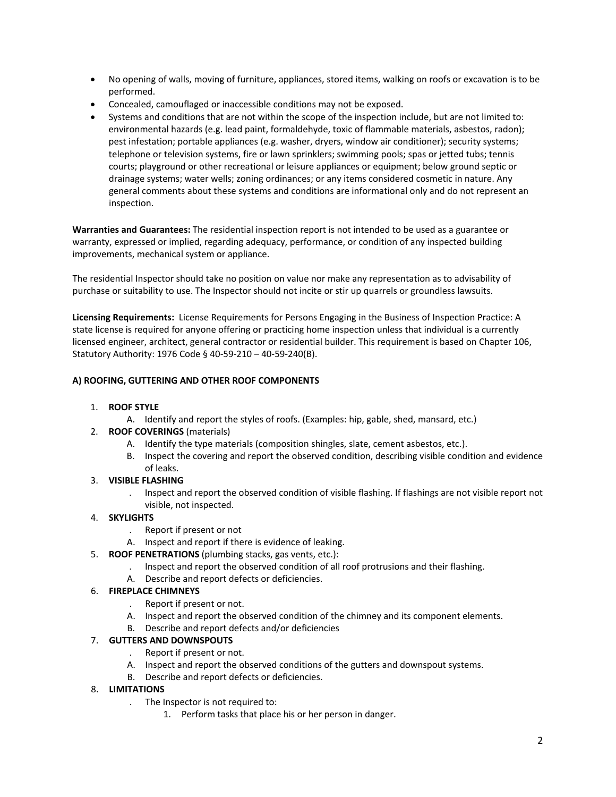- No opening of walls, moving of furniture, appliances, stored items, walking on roofs or excavation is to be performed.
- Concealed, camouflaged or inaccessible conditions may not be exposed.
- Systems and conditions that are not within the scope of the inspection include, but are not limited to: environmental hazards (e.g. lead paint, formaldehyde, toxic of flammable materials, asbestos, radon); pest infestation; portable appliances (e.g. washer, dryers, window air conditioner); security systems; telephone or television systems, fire or lawn sprinklers; swimming pools; spas or jetted tubs; tennis courts; playground or other recreational or leisure appliances or equipment; below ground septic or drainage systems; water wells; zoning ordinances; or any items considered cosmetic in nature. Any general comments about these systems and conditions are informational only and do not represent an inspection.

**Warranties and Guarantees:** The residential inspection report is not intended to be used as a guarantee or warranty, expressed or implied, regarding adequacy, performance, or condition of any inspected building improvements, mechanical system or appliance.

The residential Inspector should take no position on value nor make any representation as to advisability of purchase or suitability to use. The Inspector should not incite or stir up quarrels or groundless lawsuits.

**Licensing Requirements:** License Requirements for Persons Engaging in the Business of Inspection Practice: A state license is required for anyone offering or practicing home inspection unless that individual is a currently licensed engineer, architect, general contractor or residential builder. This requirement is based on Chapter 106, Statutory Authority: 1976 Code § 40‐59‐210 – 40‐59‐240(B).

## **A) ROOFING, GUTTERING AND OTHER ROOF COMPONENTS**

#### 1. **ROOF STYLE**

- A. Identify and report the styles of roofs. (Examples: hip, gable, shed, mansard, etc.)
- 2. **ROOF COVERINGS** (materials)
	- A. Identify the type materials (composition shingles, slate, cement asbestos, etc.).
	- B. Inspect the covering and report the observed condition, describing visible condition and evidence of leaks.

## 3. **VISIBLE FLASHING**

. Inspect and report the observed condition of visible flashing. If flashings are not visible report not visible, not inspected.

## 4. **SKYLIGHTS**

- . Report if present or not
- A. Inspect and report if there is evidence of leaking.
- 5. **ROOF PENETRATIONS** (plumbing stacks, gas vents, etc.):
	- . Inspect and report the observed condition of all roof protrusions and their flashing.
	- A. Describe and report defects or deficiencies.

#### 6. **FIREPLACE CHIMNEYS**

- . Report if present or not.
- A. Inspect and report the observed condition of the chimney and its component elements.
- B. Describe and report defects and/or deficiencies

#### 7. **GUTTERS AND DOWNSPOUTS**

- . Report if present or not.
- A. Inspect and report the observed conditions of the gutters and downspout systems.
- B. Describe and report defects or deficiencies.

#### 8. **LIMITATIONS**

- . The Inspector is not required to:
	- 1. Perform tasks that place his or her person in danger.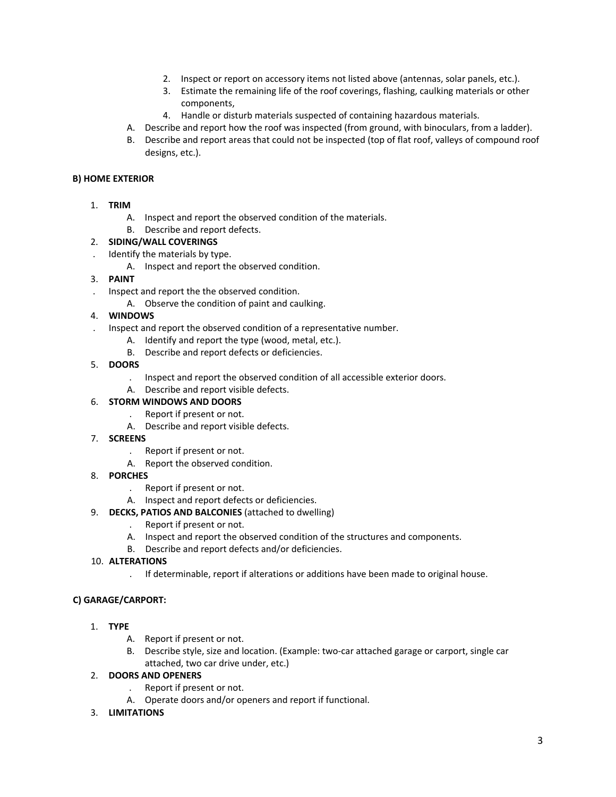- 2. Inspect or report on accessory items not listed above (antennas, solar panels, etc.).
- 3. Estimate the remaining life of the roof coverings, flashing, caulking materials or other components,
- 4. Handle or disturb materials suspected of containing hazardous materials.
- A. Describe and report how the roof was inspected (from ground, with binoculars, from a ladder).
- B. Describe and report areas that could not be inspected (top of flat roof, valleys of compound roof designs, etc.).

#### **B) HOME EXTERIOR**

- 1. **TRIM**
	- A. Inspect and report the observed condition of the materials.
	- B. Describe and report defects.

## 2. **SIDING/WALL COVERINGS**

- . Identify the materials by type.
	- A. Inspect and report the observed condition.

## 3. **PAINT**

- . Inspect and report the the observed condition.
	- A. Observe the condition of paint and caulking.

## 4. **WINDOWS**

- . Inspect and report the observed condition of a representative number.
	- A. Identify and report the type (wood, metal, etc.).
	- B. Describe and report defects or deficiencies.
- 5. **DOORS**
	- . Inspect and report the observed condition of all accessible exterior doors.
	- A. Describe and report visible defects.

## 6. **STORM WINDOWS AND DOORS**

- . Report if present or not.
- A. Describe and report visible defects.
- 7. **SCREENS**
	- . Report if present or not.
	- A. Report the observed condition.
- 8. **PORCHES**
	- . Report if present or not.
	- A. Inspect and report defects or deficiencies.
- 9. **DECKS, PATIOS AND BALCONIES** (attached to dwelling)
	- . Report if present or not.
	- A. Inspect and report the observed condition of the structures and components.
	- B. Describe and report defects and/or deficiencies.

#### 10. **ALTERATIONS**

. If determinable, report if alterations or additions have been made to original house.

## **C) GARAGE/CARPORT:**

- 1. **TYPE**
	- A. Report if present or not.
	- B. Describe style, size and location. (Example: two-car attached garage or carport, single car attached, two car drive under, etc.)

## 2. **DOORS AND OPENERS**

- . Report if present or not.
- A. Operate doors and/or openers and report if functional.

#### 3. **LIMITATIONS**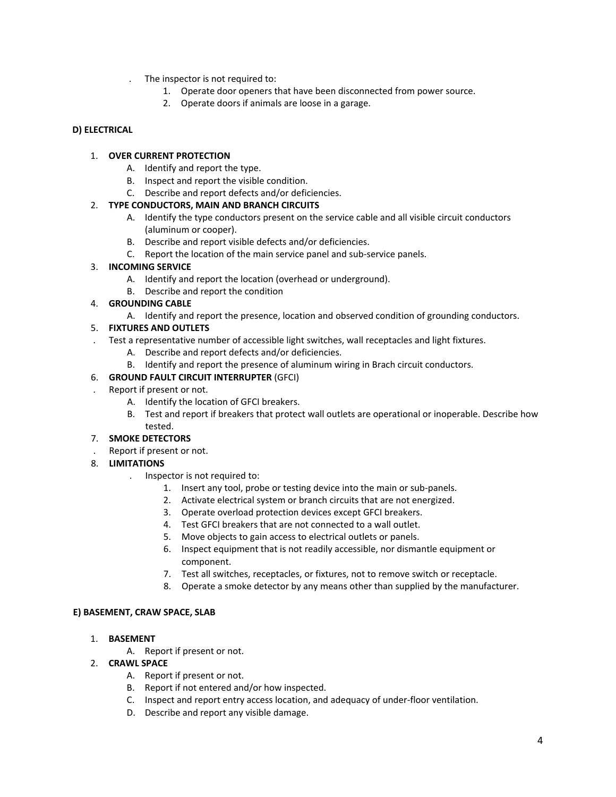- . The inspector is not required to:
	- 1. Operate door openers that have been disconnected from power source.
	- 2. Operate doors if animals are loose in a garage.

## **D) ELECTRICAL**

## 1. **OVER CURRENT PROTECTION**

- A. Identify and report the type.
- B. Inspect and report the visible condition.
- C. Describe and report defects and/or deficiencies.

## 2. **TYPE CONDUCTORS, MAIN AND BRANCH CIRCUITS**

- A. Identify the type conductors present on the service cable and all visible circuit conductors (aluminum or cooper).
- B. Describe and report visible defects and/or deficiencies.
- C. Report the location of the main service panel and sub‐service panels.

## 3. **INCOMING SERVICE**

- A. Identify and report the location (overhead or underground).
- B. Describe and report the condition

## 4. **GROUNDING CABLE**

A. Identify and report the presence, location and observed condition of grounding conductors.

## 5. **FIXTURES AND OUTLETS**

- . Test a representative number of accessible light switches, wall receptacles and light fixtures.
	- A. Describe and report defects and/or deficiencies.
	- B. Identify and report the presence of aluminum wiring in Brach circuit conductors.

## 6. **GROUND FAULT CIRCUIT INTERRUPTER** (GFCI)

- . Report if present or not.
	- A. Identify the location of GFCI breakers.
	- B. Test and report if breakers that protect wall outlets are operational or inoperable. Describe how tested.

## 7. **SMOKE DETECTORS**

- . Report if present or not.
- 8. **LIMITATIONS**
	- . Inspector is not required to:
		- 1. Insert any tool, probe or testing device into the main or sub‐panels.
		- 2. Activate electrical system or branch circuits that are not energized.
		- 3. Operate overload protection devices except GFCI breakers.
		- 4. Test GFCI breakers that are not connected to a wall outlet.
		- 5. Move objects to gain access to electrical outlets or panels.
		- 6. Inspect equipment that is not readily accessible, nor dismantle equipment or component.
		- 7. Test all switches, receptacles, or fixtures, not to remove switch or receptacle.
		- 8. Operate a smoke detector by any means other than supplied by the manufacturer.

#### **E) BASEMENT, CRAW SPACE, SLAB**

- 1. **BASEMENT**
	- A. Report if present or not.
- 2. **CRAWL SPACE**
	- A. Report if present or not.
	- B. Report if not entered and/or how inspected.
	- C. Inspect and report entry access location, and adequacy of under‐floor ventilation.
	- D. Describe and report any visible damage.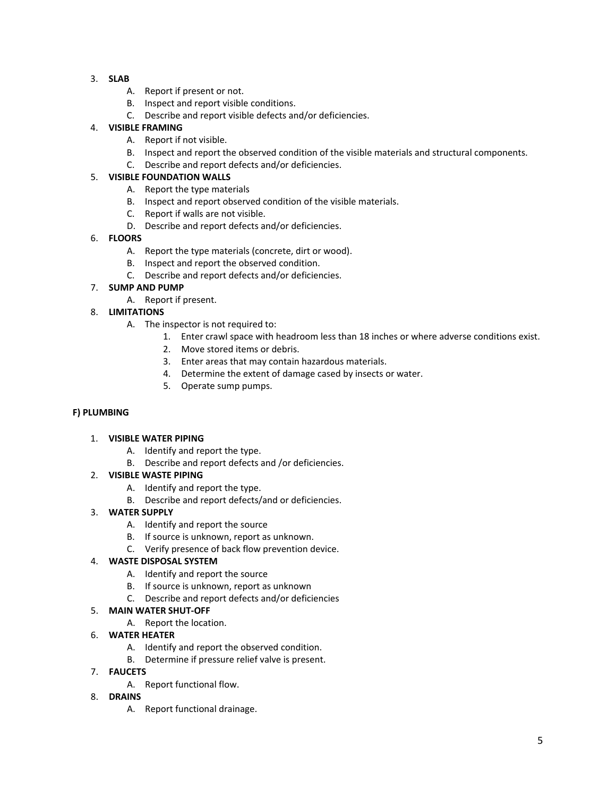- 3. **SLAB**
	- A. Report if present or not.
	- B. Inspect and report visible conditions.
	- C. Describe and report visible defects and/or deficiencies.

#### 4. **VISIBLE FRAMING**

- A. Report if not visible.
- B. Inspect and report the observed condition of the visible materials and structural components.
- C. Describe and report defects and/or deficiencies.

## 5. **VISIBLE FOUNDATION WALLS**

- A. Report the type materials
- B. Inspect and report observed condition of the visible materials.
- C. Report if walls are not visible.
- D. Describe and report defects and/or deficiencies.

## 6. **FLOORS**

- A. Report the type materials (concrete, dirt or wood).
- B. Inspect and report the observed condition.
- C. Describe and report defects and/or deficiencies.

## 7. **SUMP AND PUMP**

A. Report if present.

## 8. **LIMITATIONS**

- A. The inspector is not required to:
	- 1. Enter crawl space with headroom less than 18 inches or where adverse conditions exist.
	- 2. Move stored items or debris.
	- 3. Enter areas that may contain hazardous materials.
	- 4. Determine the extent of damage cased by insects or water.
	- 5. Operate sump pumps.

#### **F) PLUMBING**

#### 1. **VISIBLE WATER PIPING**

- A. Identify and report the type.
- B. Describe and report defects and /or deficiencies.

#### 2. **VISIBLE WASTE PIPING**

- A. Identify and report the type.
- B. Describe and report defects/and or deficiencies.

#### 3. **WATER SUPPLY**

- A. Identify and report the source
- B. If source is unknown, report as unknown.
- C. Verify presence of back flow prevention device.

#### 4. **WASTE DISPOSAL SYSTEM**

- A. Identify and report the source
- B. If source is unknown, report as unknown
- C. Describe and report defects and/or deficiencies

#### 5. **MAIN WATER SHUT‐OFF**

A. Report the location.

## 6. **WATER HEATER**

- A. Identify and report the observed condition.
- B. Determine if pressure relief valve is present.
- 7. **FAUCETS**
	- A. Report functional flow.
- 8. **DRAINS**
	- A. Report functional drainage.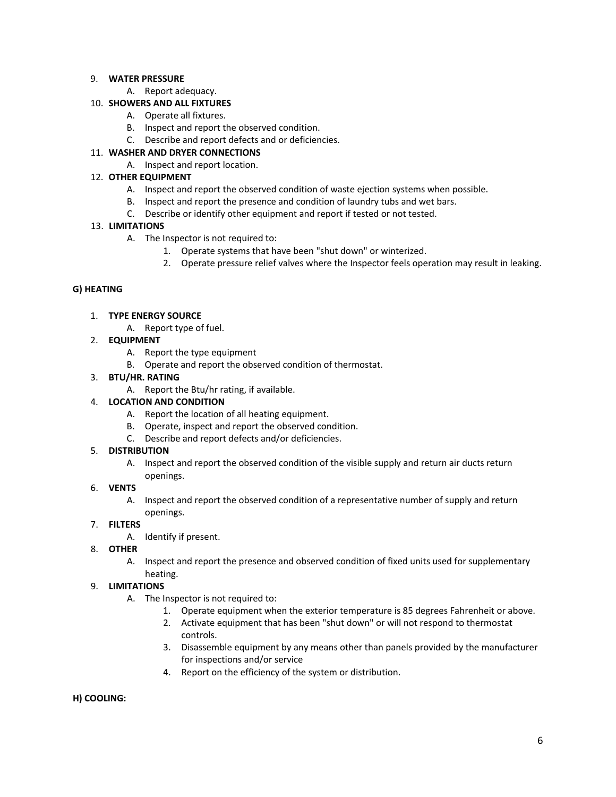## 9. **WATER PRESSURE**

A. Report adequacy.

## 10. **SHOWERS AND ALL FIXTURES**

- A. Operate all fixtures.
- B. Inspect and report the observed condition.
- C. Describe and report defects and or deficiencies.

## 11. **WASHER AND DRYER CONNECTIONS**

A. Inspect and report location.

## 12. **OTHER EQUIPMENT**

- A. Inspect and report the observed condition of waste ejection systems when possible.
- B. Inspect and report the presence and condition of laundry tubs and wet bars.
- C. Describe or identify other equipment and report if tested or not tested.

## 13. **LIMITATIONS**

- A. The Inspector is not required to:
	- 1. Operate systems that have been "shut down" or winterized.
	- 2. Operate pressure relief valves where the Inspector feels operation may result in leaking.

## **G) HEATING**

- 1. **TYPE ENERGY SOURCE**
	- A. Report type of fuel.
- 2. **EQUIPMENT**
	- A. Report the type equipment
	- B. Operate and report the observed condition of thermostat.
- 3. **BTU/HR. RATING**
	- A. Report the Btu/hr rating, if available.

## 4. **LOCATION AND CONDITION**

- A. Report the location of all heating equipment.
- B. Operate, inspect and report the observed condition.
- C. Describe and report defects and/or deficiencies.

#### 5. **DISTRIBUTION**

A. Inspect and report the observed condition of the visible supply and return air ducts return openings.

## 6. **VENTS**

A. Inspect and report the observed condition of a representative number of supply and return openings.

#### 7. **FILTERS**

- A. Identify if present.
- 8. **OTHER**
	- A. Inspect and report the presence and observed condition of fixed units used for supplementary heating.

## 9. **LIMITATIONS**

- A. The Inspector is not required to:
	- 1. Operate equipment when the exterior temperature is 85 degrees Fahrenheit or above.
	- 2. Activate equipment that has been "shut down" or will not respond to thermostat controls.
	- 3. Disassemble equipment by any means other than panels provided by the manufacturer for inspections and/or service
	- 4. Report on the efficiency of the system or distribution.

#### **H) COOLING:**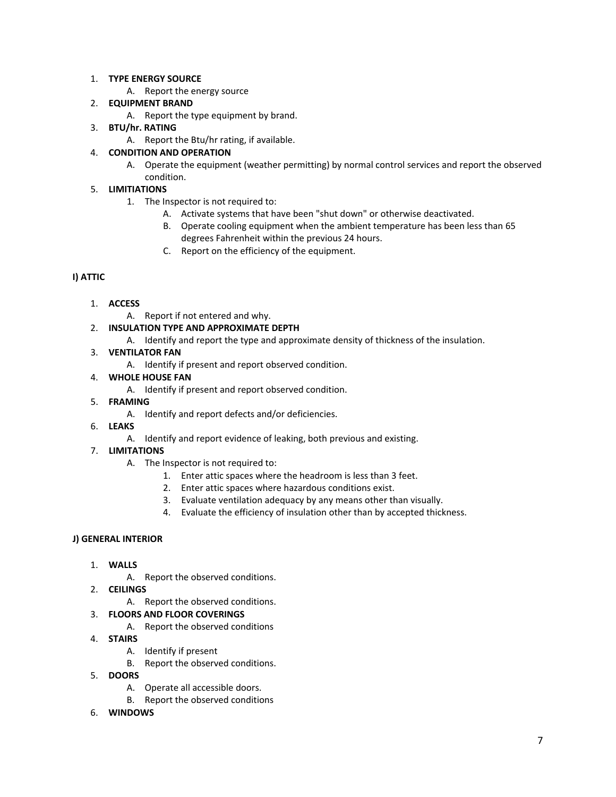## 1. **TYPE ENERGY SOURCE**

A. Report the energy source

## 2. **EQUIPMENT BRAND**

- A. Report the type equipment by brand.
- 3. **BTU/hr. RATING**
	- A. Report the Btu/hr rating, if available.

## 4. **CONDITION AND OPERATION**

A. Operate the equipment (weather permitting) by normal control services and report the observed condition.

## 5. **LIMITIATIONS**

- 1. The Inspector is not required to:
	- A. Activate systems that have been "shut down" or otherwise deactivated.
	- B. Operate cooling equipment when the ambient temperature has been less than 65 degrees Fahrenheit within the previous 24 hours.
	- C. Report on the efficiency of the equipment.

## **I) ATTIC**

- 1. **ACCESS**
	- A. Report if not entered and why.
- 2. **INSULATION TYPE AND APPROXIMATE DEPTH**
	- A. Identify and report the type and approximate density of thickness of the insulation.
- 3. **VENTILATOR FAN**
	- A. Identify if present and report observed condition.
- 4. **WHOLE HOUSE FAN**
	- A. Identify if present and report observed condition.
- 5. **FRAMING**
	- A. Identify and report defects and/or deficiencies.
- 6. **LEAKS**
	- A. Identify and report evidence of leaking, both previous and existing.

## 7. **LIMITATIONS**

- A. The Inspector is not required to:
	- 1. Enter attic spaces where the headroom is less than 3 feet.
	- 2. Enter attic spaces where hazardous conditions exist.
	- 3. Evaluate ventilation adequacy by any means other than visually.
	- 4. Evaluate the efficiency of insulation other than by accepted thickness.

## **J) GENERAL INTERIOR**

- 1. **WALLS**
	- A. Report the observed conditions.
- 2. **CEILINGS**
	- A. Report the observed conditions.

## 3. **FLOORS AND FLOOR COVERINGS**

- A. Report the observed conditions
- 4. **STAIRS**
	- A. Identify if present
	- B. Report the observed conditions.
- 5. **DOORS**
	- A. Operate all accessible doors.
	- B. Report the observed conditions
- 6. **WINDOWS**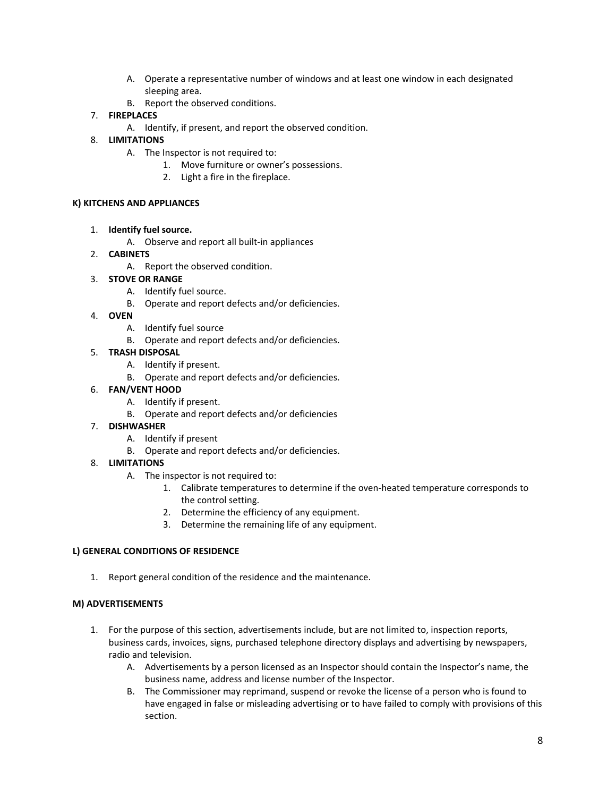- A. Operate a representative number of windows and at least one window in each designated sleeping area.
- B. Report the observed conditions.
- 7. **FIREPLACES**
	- A. Identify, if present, and report the observed condition.
- 8. **LIMITATIONS**
	- A. The Inspector is not required to:
		- 1. Move furniture or owner's possessions.
		- 2. Light a fire in the fireplace.

#### **K) KITCHENS AND APPLIANCES**

- 1. **Identify fuel source.**
	- A. Observe and report all built‐in appliances
- 2. **CABINETS**
	- A. Report the observed condition.
- 3. **STOVE OR RANGE**
	- A. Identify fuel source.
	- B. Operate and report defects and/or deficiencies.
- 4. **OVEN**
	- A. Identify fuel source
	- B. Operate and report defects and/or deficiencies.
- 5. **TRASH DISPOSAL**
	- A. Identify if present.
	- B. Operate and report defects and/or deficiencies.
- 6. **FAN/VENT HOOD**
	- A. Identify if present.
	- B. Operate and report defects and/or deficiencies
- 7. **DISHWASHER**
	- A. Identify if present
	- B. Operate and report defects and/or deficiencies.
- 8. **LIMITATIONS**
	- A. The inspector is not required to:
		- 1. Calibrate temperatures to determine if the oven-heated temperature corresponds to the control setting.
		- 2. Determine the efficiency of any equipment.
		- 3. Determine the remaining life of any equipment.

#### **L) GENERAL CONDITIONS OF RESIDENCE**

1. Report general condition of the residence and the maintenance.

#### **M) ADVERTISEMENTS**

- 1. For the purpose of this section, advertisements include, but are not limited to, inspection reports, business cards, invoices, signs, purchased telephone directory displays and advertising by newspapers, radio and television.
	- A. Advertisements by a person licensed as an Inspector should contain the Inspector's name, the business name, address and license number of the Inspector.
	- B. The Commissioner may reprimand, suspend or revoke the license of a person who is found to have engaged in false or misleading advertising or to have failed to comply with provisions of this section.